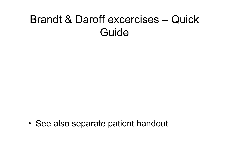## Brandt & Daroff excercises – Quick Guide

•See also separate patient handout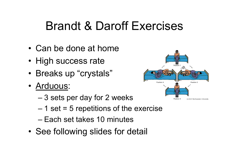- •Can be done at home
- High success rate
- •Breaks up "crystals"
- <u>Arduous</u>:
	- –3 sets per day for 2 weeks
	- –1 set = 5 repetitions of the exercise
	- –Each set takes 10 minutes
- •See following slides for detail

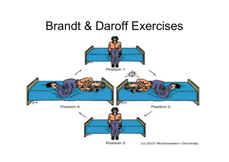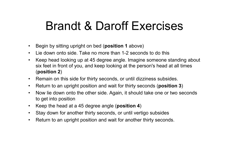- •Begin by sitting upright on bed (**position 1** above)
- $\bullet$ Lie down onto side. Take no more than 1-2 seconds to do this
- $\bullet$  Keep head looking up at 45 degree angle. Imagine someone standing about six feet in front of you, and keep looking at the person's head at all times (position 2)
- Remain on this side for thirty seconds, or until dizziness subsides.
- •Return to an upright position and wait for thirty seconds (position 3)
- $\bullet$  Now lie down onto the other side. Again, it should take one or two seconds to get into position
- $\bullet$ Keep the head at a 45 degree angle (position 4)
- $\bullet$ Stay down for another thirty seconds, or until vertigo subsides
- $\bullet$ Return to an upright position and wait for another thirty seconds.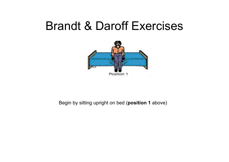

#### Begin by sitting upright on bed (**position 1** above)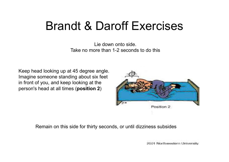Lie down onto side.<br>Take no more than 1-2 seconds to do this

Keep head looking up at 45 degree angle. Imagine someone standing about six feet in front of you, and keep looking at the person's head at all times (position 2)



Remain on this side for thirty seconds, or until dizziness subsides

2001 Northwestern University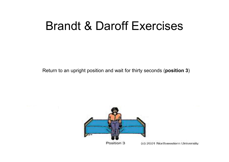Return to an upright position and wait for thirty seconds (position 3)

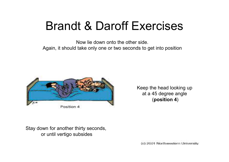Again, it should take only one or two seconds to get into position Now lie down onto the other side.



Keep the head looking upat a 45 degree angle(position 4)

Stay down for another thirty seconds, or until vertigo subsides

(c) 2001 Northwestern University